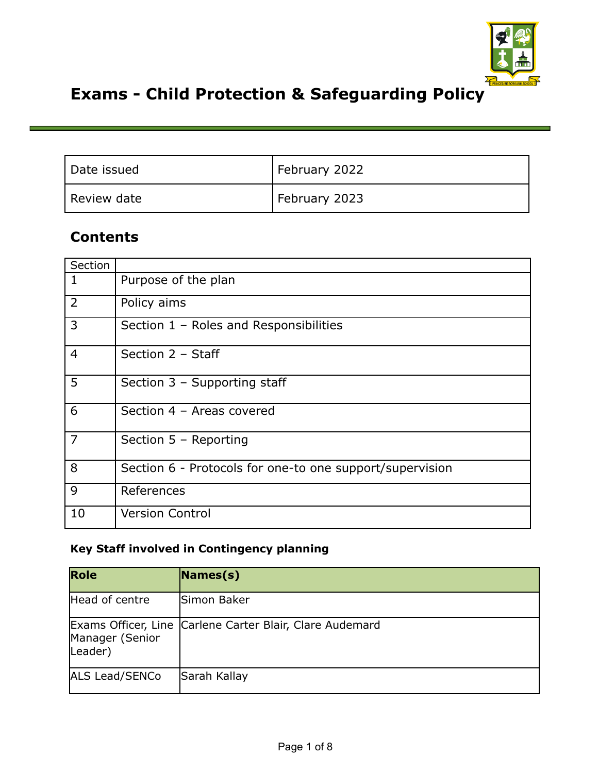

# **Exams - Child Protection & Safeguarding Policy**

| Date issued | February 2022 |
|-------------|---------------|
| Review date | February 2023 |

# **Contents**

| Section        |                                                          |
|----------------|----------------------------------------------------------|
| 1              | Purpose of the plan                                      |
| $\overline{2}$ | Policy aims                                              |
| 3              | Section 1 - Roles and Responsibilities                   |
| $\overline{4}$ | Section 2 - Staff                                        |
| 5              | Section 3 - Supporting staff                             |
| 6              | Section 4 - Areas covered                                |
| $\overline{7}$ | Section 5 - Reporting                                    |
| 8              | Section 6 - Protocols for one-to one support/supervision |
| 9              | References                                               |
| 10             | <b>Version Control</b>                                   |

#### **Key Staff involved in Contingency planning**

| Role                       | $\vert$ Names(s)                                         |
|----------------------------|----------------------------------------------------------|
| Head of centre             | Simon Baker                                              |
| Manager (Senior<br>Leader) | Exams Officer, Line Carlene Carter Blair, Clare Audemard |
| ALS Lead/SENCo             | Sarah Kallay                                             |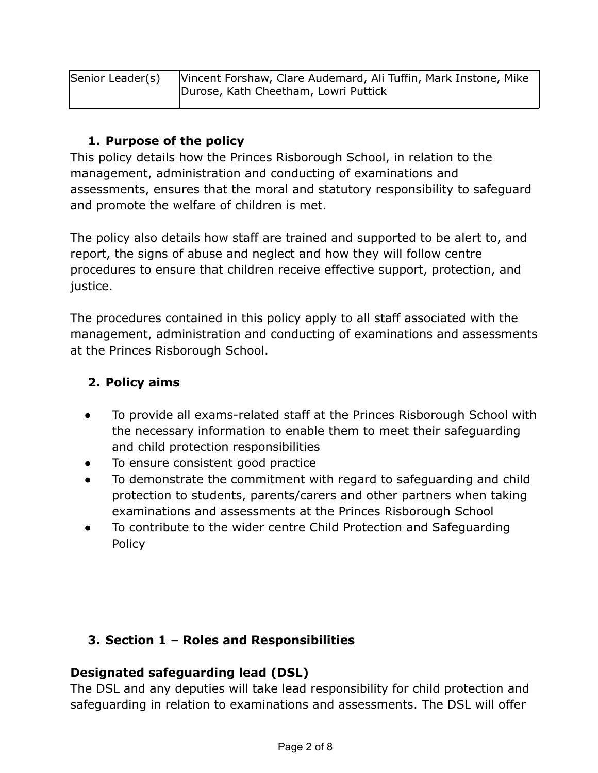| Senior Leader(s) | Vincent Forshaw, Clare Audemard, Ali Tuffin, Mark Instone, Mike |  |
|------------------|-----------------------------------------------------------------|--|
|                  | Durose, Kath Cheetham, Lowri Puttick                            |  |
|                  |                                                                 |  |

#### **1. Purpose of the policy**

This policy details how the Princes Risborough School, in relation to the management, administration and conducting of examinations and assessments, ensures that the moral and statutory responsibility to safeguard and promote the welfare of children is met.

The policy also details how staff are trained and supported to be alert to, and report, the signs of abuse and neglect and how they will follow centre procedures to ensure that children receive effective support, protection, and iustice.

The procedures contained in this policy apply to all staff associated with the management, administration and conducting of examinations and assessments at the Princes Risborough School.

#### **2. Policy aims**

- To provide all exams-related staff at the Princes Risborough School with the necessary information to enable them to meet their safeguarding and child protection responsibilities
- To ensure consistent good practice
- To demonstrate the commitment with regard to safeguarding and child protection to students, parents/carers and other partners when taking examinations and assessments at the Princes Risborough School
- To contribute to the wider centre Child Protection and Safeguarding Policy

## **3. Section 1 – Roles and Responsibilities**

#### **Designated safeguarding lead (DSL)**

The DSL and any deputies will take lead responsibility for child protection and safeguarding in relation to examinations and assessments. The DSL will offer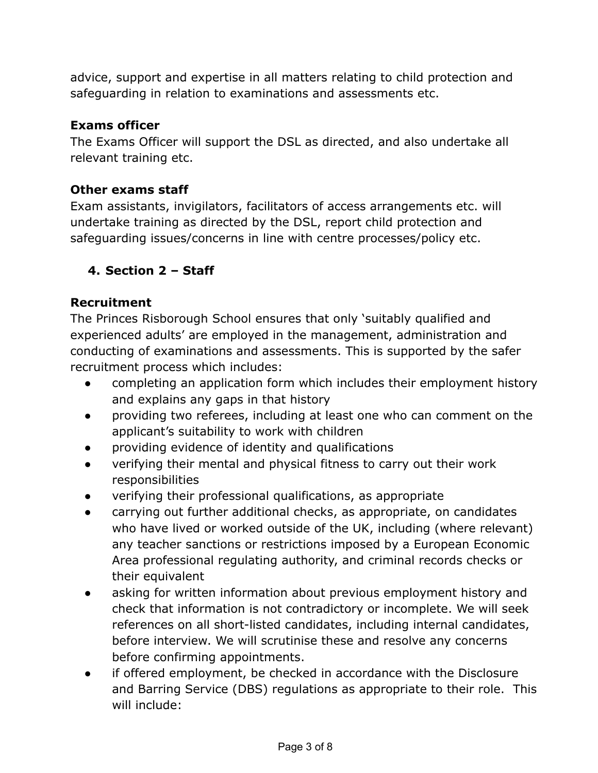advice, support and expertise in all matters relating to child protection and safeguarding in relation to examinations and assessments etc.

## **Exams officer**

The Exams Officer will support the DSL as directed, and also undertake all relevant training etc.

## **Other exams staff**

Exam assistants, invigilators, facilitators of access arrangements etc. will undertake training as directed by the DSL, report child protection and safeguarding issues/concerns in line with centre processes/policy etc.

# **4. Section 2 – Staff**

## **Recruitment**

The Princes Risborough School ensures that only 'suitably qualified and experienced adults' are employed in the management, administration and conducting of examinations and assessments. This is supported by the safer recruitment process which includes:

- completing an application form which includes their employment history and explains any gaps in that history
- providing two referees, including at least one who can comment on the applicant's suitability to work with children
- providing evidence of identity and qualifications
- verifying their mental and physical fitness to carry out their work responsibilities
- verifying their professional qualifications, as appropriate
- carrying out further additional checks, as appropriate, on candidates who have lived or worked outside of the UK, including (where relevant) any teacher sanctions or restrictions imposed by a European Economic Area professional regulating authority, and criminal records checks or their equivalent
- asking for written information about previous employment history and check that information is not contradictory or incomplete. We will seek references on all short-listed candidates, including internal candidates, before interview. We will scrutinise these and resolve any concerns before confirming appointments.
- if offered employment, be checked in accordance with the Disclosure and Barring Service (DBS) regulations as appropriate to their role. This will include: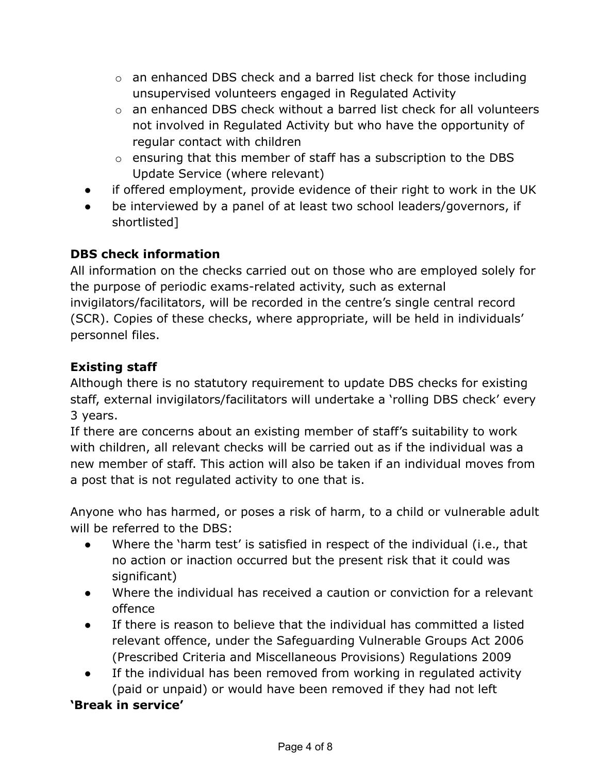- o an enhanced DBS check and a barred list check for those including unsupervised volunteers engaged in Regulated Activity
- $\circ$  an enhanced DBS check without a barred list check for all volunteers not involved in Regulated Activity but who have the opportunity of regular contact with children
- o ensuring that this member of staff has a subscription to the DBS Update Service (where relevant)
- if offered employment, provide evidence of their right to work in the UK
- be interviewed by a panel of at least two school leaders/governors, if shortlisted]

## **DBS check information**

All information on the checks carried out on those who are employed solely for the purpose of periodic exams-related activity, such as external invigilators/facilitators, will be recorded in the centre's single central record (SCR). Copies of these checks, where appropriate, will be held in individuals' personnel files.

## **Existing staff**

Although there is no statutory requirement to update DBS checks for existing staff, external invigilators/facilitators will undertake a 'rolling DBS check' every 3 years.

If there are concerns about an existing member of staff's suitability to work with children, all relevant checks will be carried out as if the individual was a new member of staff. This action will also be taken if an individual moves from a post that is not regulated activity to one that is.

Anyone who has harmed, or poses a risk of harm, to a child or vulnerable adult will be referred to the DBS:

- Where the 'harm test' is satisfied in respect of the individual (i.e., that no action or inaction occurred but the present risk that it could was significant)
- Where the individual has received a caution or conviction for a relevant offence
- If there is reason to believe that the individual has committed a listed relevant offence, under the Safeguarding Vulnerable Groups Act 2006 (Prescribed Criteria and Miscellaneous Provisions) Regulations 2009
- If the individual has been removed from working in regulated activity (paid or unpaid) or would have been removed if they had not left

## **'Break in service'**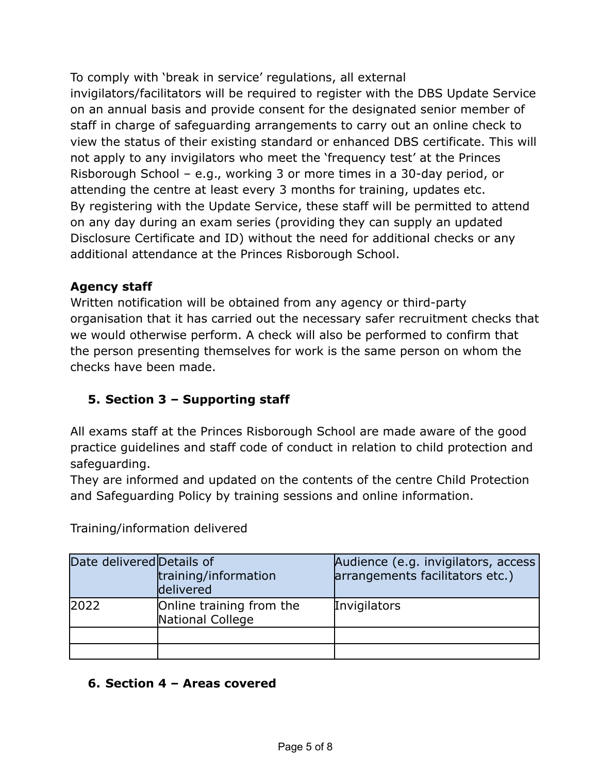To comply with 'break in service' regulations, all external invigilators/facilitators will be required to register with the DBS Update Service on an annual basis and provide consent for the designated senior member of staff in charge of safeguarding arrangements to carry out an online check to view the status of their existing standard or enhanced DBS certificate. This will not apply to any invigilators who meet the 'frequency test' at the Princes Risborough School – e.g., working 3 or more times in a 30-day period, or attending the centre at least every 3 months for training, updates etc. By registering with the Update Service, these staff will be permitted to attend on any day during an exam series (providing they can supply an updated Disclosure Certificate and ID) without the need for additional checks or any additional attendance at the Princes Risborough School.

## **Agency staff**

Written notification will be obtained from any agency or third-party organisation that it has carried out the necessary safer recruitment checks that we would otherwise perform. A check will also be performed to confirm that the person presenting themselves for work is the same person on whom the checks have been made.

# **5. Section 3 – Supporting staff**

All exams staff at the Princes Risborough School are made aware of the good practice guidelines and staff code of conduct in relation to child protection and safeguarding.

They are informed and updated on the contents of the centre Child Protection and Safeguarding Policy by training sessions and online information.

| Date delivered Details of | training/information<br>delivered            | Audience (e.g. invigilators, access<br>arrangements facilitators etc.) |
|---------------------------|----------------------------------------------|------------------------------------------------------------------------|
| 2022                      | Online training from the<br>National College | Invigilators                                                           |
|                           |                                              |                                                                        |
|                           |                                              |                                                                        |

Training/information delivered

## **6. Section 4 – Areas covered**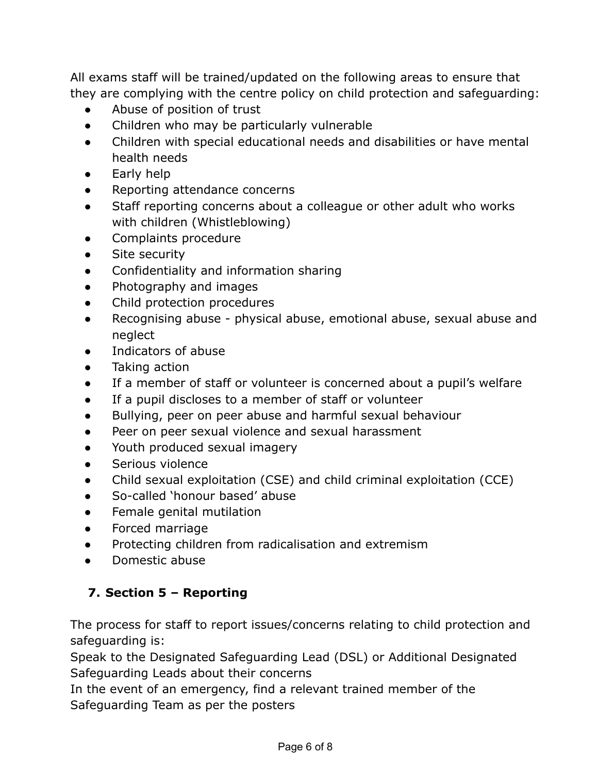All exams staff will be trained/updated on the following areas to ensure that they are complying with the centre policy on child protection and safeguarding:

- Abuse of position of trust
- Children who may be particularly vulnerable
- Children with special educational needs and disabilities or have mental health needs
- Early help
- Reporting attendance concerns
- Staff reporting concerns about a colleague or other adult who works with children (Whistleblowing)
- Complaints procedure
- **•** Site security
- Confidentiality and information sharing
- Photography and images
- Child protection procedures
- Recognising abuse physical abuse, emotional abuse, sexual abuse and neglect
- Indicators of abuse
- Taking action
- If a member of staff or volunteer is concerned about a pupil's welfare
- If a pupil discloses to a member of staff or volunteer
- Bullying, peer on peer abuse and harmful sexual behaviour
- Peer on peer sexual violence and sexual harassment
- Youth produced sexual imagery
- Serious violence
- Child sexual exploitation (CSE) and child criminal exploitation (CCE)
- So-called 'honour based' abuse
- Female genital mutilation
- Forced marriage
- Protecting children from radicalisation and extremism
- Domestic abuse

# **7. Section 5 – Reporting**

The process for staff to report issues/concerns relating to child protection and safeguarding is:

Speak to the Designated Safeguarding Lead (DSL) or Additional Designated Safeguarding Leads about their concerns

In the event of an emergency, find a relevant trained member of the Safeguarding Team as per the posters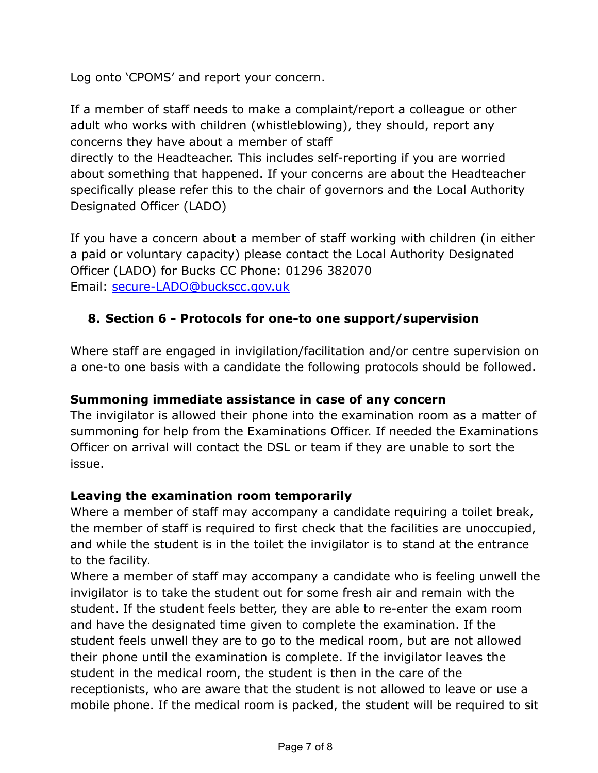Log onto 'CPOMS' and report your concern.

If a member of staff needs to make a complaint/report a colleague or other adult who works with children (whistleblowing), they should, report any concerns they have about a member of staff

directly to the Headteacher. This includes self-reporting if you are worried about something that happened. If your concerns are about the Headteacher specifically please refer this to the chair of governors and the Local Authority Designated Officer (LADO)

If you have a concern about a member of staff working with children (in either a paid or voluntary capacity) please contact the Local Authority Designated Officer (LADO) for Bucks CC Phone: 01296 382070 Email: [secure-LADO@buckscc.gov.uk](mailto:secure-LADO@buckscc.gov.uk)

## **8. Section 6 - Protocols for one-to one support/supervision**

Where staff are engaged in invigilation/facilitation and/or centre supervision on a one-to one basis with a candidate the following protocols should be followed.

#### **Summoning immediate assistance in case of any concern**

The invigilator is allowed their phone into the examination room as a matter of summoning for help from the Examinations Officer. If needed the Examinations Officer on arrival will contact the DSL or team if they are unable to sort the issue.

#### **Leaving the examination room temporarily**

Where a member of staff may accompany a candidate requiring a toilet break, the member of staff is required to first check that the facilities are unoccupied, and while the student is in the toilet the invigilator is to stand at the entrance to the facility.

Where a member of staff may accompany a candidate who is feeling unwell the invigilator is to take the student out for some fresh air and remain with the student. If the student feels better, they are able to re-enter the exam room and have the designated time given to complete the examination. If the student feels unwell they are to go to the medical room, but are not allowed their phone until the examination is complete. If the invigilator leaves the student in the medical room, the student is then in the care of the receptionists, who are aware that the student is not allowed to leave or use a mobile phone. If the medical room is packed, the student will be required to sit